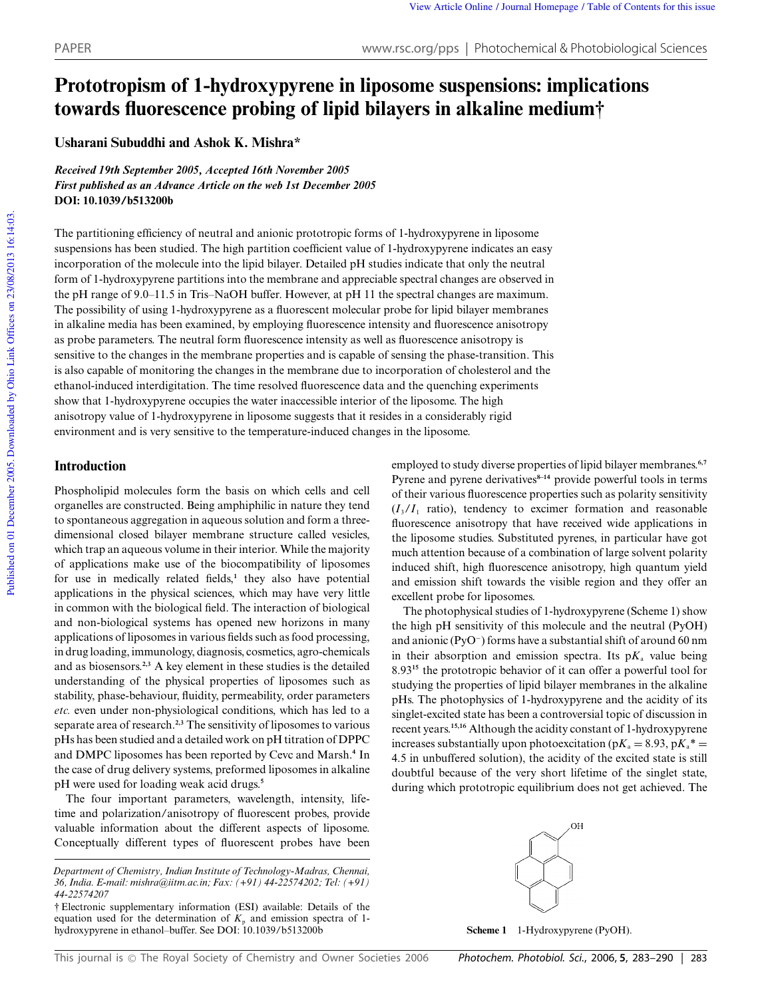# **Prototropism of 1-hydroxypyrene in liposome suspensions: implications towards fluorescence probing of lipid bilayers in alkaline medium†**

**Usharani Subuddhi and Ashok K. Mishra\***

*Received 19th September 2005, Accepted 16th November 2005 First published as an Advance Article on the web 1st December 2005* **DOI: 10.1039/b513200b**

The partitioning efficiency of neutral and anionic prototropic forms of 1-hydroxypyrene in liposome suspensions has been studied. The high partition coefficient value of 1-hydroxypyrene indicates an easy incorporation of the molecule into the lipid bilayer. Detailed pH studies indicate that only the neutral form of 1-hydroxypyrene partitions into the membrane and appreciable spectral changes are observed in the pH range of 9.0–11.5 in Tris–NaOH buffer. However, at pH 11 the spectral changes are maximum. The possibility of using 1-hydroxypyrene as a fluorescent molecular probe for lipid bilayer membranes in alkaline media has been examined, by employing fluorescence intensity and fluorescence anisotropy as probe parameters. The neutral form fluorescence intensity as well as fluorescence anisotropy is sensitive to the changes in the membrane properties and is capable of sensing the phase-transition. This is also capable of monitoring the changes in the membrane due to incorporation of cholesterol and the ethanol-induced interdigitation. The time resolved fluorescence data and the quenching experiments show that 1-hydroxypyrene occupies the water inaccessible interior of the liposome. The high anisotropy value of 1-hydroxypyrene in liposome suggests that it resides in a considerably rigid environment and is very sensitive to the temperature-induced changes in the liposome.

# **Introduction**

Phospholipid molecules form the basis on which cells and cell organelles are constructed. Being amphiphilic in nature they tend to spontaneous aggregation in aqueous solution and form a threedimensional closed bilayer membrane structure called vesicles, which trap an aqueous volume in their interior. While the majority of applications make use of the biocompatibility of liposomes for use in medically related fields,**<sup>1</sup>** they also have potential applications in the physical sciences, which may have very little in common with the biological field. The interaction of biological and non-biological systems has opened new horizons in many applications of liposomes in various fields such as food processing, in drug loading, immunology, diagnosis, cosmetics, agro-chemicals and as biosensors.**2,3** A key element in these studies is the detailed understanding of the physical properties of liposomes such as stability, phase-behaviour, fluidity, permeability, order parameters *etc.* even under non-physiological conditions, which has led to a separate area of research.**2,3** The sensitivity of liposomes to various pHs has been studied and a detailed work on pH titration of DPPC and DMPC liposomes has been reported by Cevc and Marsh.**<sup>4</sup>** In the case of drug delivery systems, preformed liposomes in alkaline pH were used for loading weak acid drugs.**<sup>5</sup>**

The four important parameters, wavelength, intensity, lifetime and polarization/anisotropy of fluorescent probes, provide valuable information about the different aspects of liposome. Conceptually different types of fluorescent probes have been employed to study diverse properties of lipid bilayer membranes.**6,7** Pyrene and pyrene derivatives<sup>8-14</sup> provide powerful tools in terms of their various fluorescence properties such as polarity sensitivity  $(I_3/I_1$  ratio), tendency to excimer formation and reasonable fluorescence anisotropy that have received wide applications in the liposome studies. Substituted pyrenes, in particular have got much attention because of a combination of large solvent polarity induced shift, high fluorescence anisotropy, high quantum yield and emission shift towards the visible region and they offer an excellent probe for liposomes.

The photophysical studies of 1-hydroxypyrene (Scheme 1) show the high pH sensitivity of this molecule and the neutral (PyOH) and anionic (PyO<sup>−</sup> ) forms have a substantial shift of around 60 nm in their absorption and emission spectra. Its  $pK_a$  value being 8.93**<sup>15</sup>** the prototropic behavior of it can offer a powerful tool for studying the properties of lipid bilayer membranes in the alkaline pHs. The photophysics of 1-hydroxypyrene and the acidity of its singlet-excited state has been a controversial topic of discussion in recent years.**15,16** Although the acidity constant of 1-hydroxypyrene increases substantially upon photoexcitation ( $pK_a = 8.93$ ,  $pK_a^* =$ 4.5 in unbuffered solution), the acidity of the excited state is still doubtful because of the very short lifetime of the singlet state, during which prototropic equilibrium does not get achieved. The



**Scheme 1** 1-Hydroxypyrene (PyOH).

*Department of Chemistry, Indian Institute of Technology-Madras, Chennai, 36, India. E-mail: mishra@iitm.ac.in; Fax: (+91) 44-22574202; Tel: (+91) 44-22574207*

<sup>†</sup> Electronic supplementary information (ESI) available: Details of the equation used for the determination of  $K_p$  and emission spectra of 1hydroxypyrene in ethanol–buffer. See DOI: 10.1039/b513200b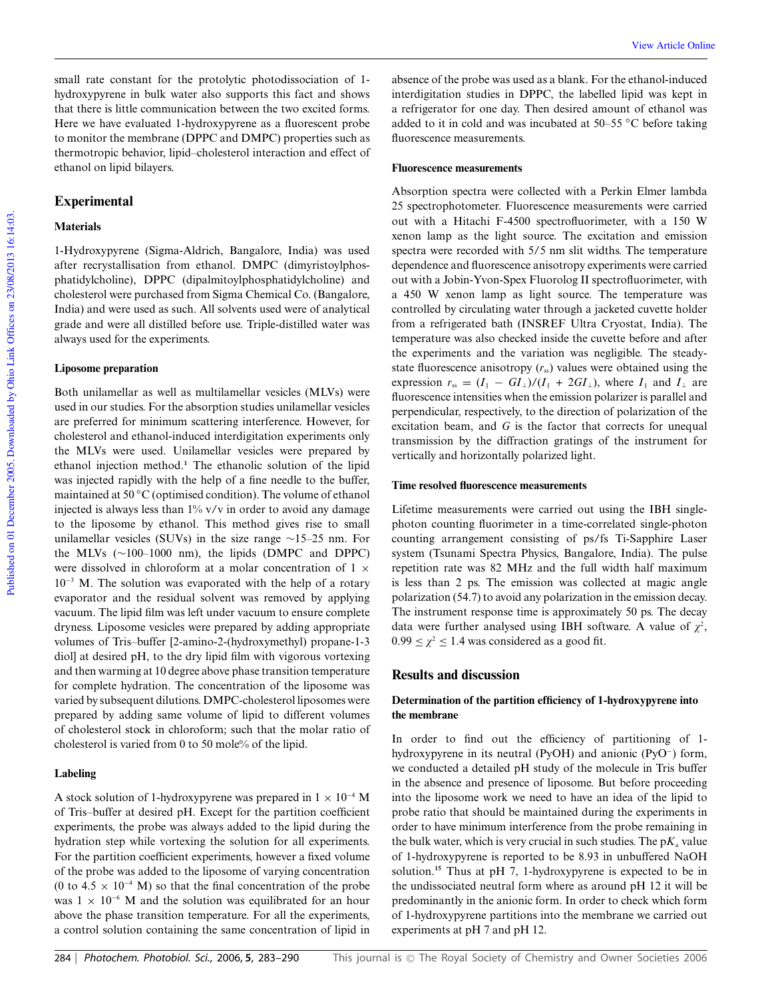small rate constant for the protolytic photodissociation of 1 hydroxypyrene in bulk water also supports this fact and shows that there is little communication between the two excited forms. Here we have evaluated 1-hydroxypyrene as a fluorescent probe to monitor the membrane (DPPC and DMPC) properties such as thermotropic behavior, lipid–cholesterol interaction and effect of ethanol on lipid bilayers.

## **Experimental**

## **Materials**

1-Hydroxypyrene (Sigma-Aldrich, Bangalore, India) was used after recrystallisation from ethanol. DMPC (dimyristoylphosphatidylcholine), DPPC (dipalmitoylphosphatidylcholine) and cholesterol were purchased from Sigma Chemical Co. (Bangalore, India) and were used as such. All solvents used were of analytical grade and were all distilled before use. Triple-distilled water was always used for the experiments.

#### **Liposome preparation**

Both unilamellar as well as multilamellar vesicles (MLVs) were used in our studies. For the absorption studies unilamellar vesicles are preferred for minimum scattering interference. However, for cholesterol and ethanol-induced interdigitation experiments only the MLVs were used. Unilamellar vesicles were prepared by ethanol injection method.**<sup>1</sup>** The ethanolic solution of the lipid was injected rapidly with the help of a fine needle to the buffer, maintained at 50 ◦C (optimised condition). The volume of ethanol injected is always less than  $1\%$  v/v in order to avoid any damage to the liposome by ethanol. This method gives rise to small unilamellar vesicles (SUVs) in the size range ∼15–25 nm. For the MLVs (∼100–1000 nm), the lipids (DMPC and DPPC) were dissolved in chloroform at a molar concentration of 1  $\times$ 10<sup>−</sup><sup>3</sup> M. The solution was evaporated with the help of a rotary evaporator and the residual solvent was removed by applying vacuum. The lipid film was left under vacuum to ensure complete dryness. Liposome vesicles were prepared by adding appropriate volumes of Tris–buffer [2-amino-2-(hydroxymethyl) propane-1-3 diol] at desired pH, to the dry lipid film with vigorous vortexing and then warming at 10 degree above phase transition temperature for complete hydration. The concentration of the liposome was varied by subsequent dilutions. DMPC-cholesterol liposomes were prepared by adding same volume of lipid to different volumes of cholesterol stock in chloroform; such that the molar ratio of cholesterol is varied from 0 to 50 mole% of the lipid.

## **Labeling**

A stock solution of 1-hydroxypyrene was prepared in  $1 \times 10^{-4}$  M of Tris–buffer at desired pH. Except for the partition coefficient experiments, the probe was always added to the lipid during the hydration step while vortexing the solution for all experiments. For the partition coefficient experiments, however a fixed volume of the probe was added to the liposome of varying concentration (0 to 4.5  $\times$  10<sup>-4</sup> M) so that the final concentration of the probe was  $1 \times 10^{-6}$  M and the solution was equilibrated for an hour above the phase transition temperature. For all the experiments, a control solution containing the same concentration of lipid in

absence of the probe was used as a blank. For the ethanol-induced interdigitation studies in DPPC, the labelled lipid was kept in a refrigerator for one day. Then desired amount of ethanol was added to it in cold and was incubated at 50–55 ◦C before taking fluorescence measurements.

#### **Fluorescence measurements**

Absorption spectra were collected with a Perkin Elmer lambda 25 spectrophotometer. Fluorescence measurements were carried out with a Hitachi F-4500 spectrofluorimeter, with a 150 W xenon lamp as the light source. The excitation and emission spectra were recorded with 5/5 nm slit widths. The temperature dependence and fluorescence anisotropy experiments were carried out with a Jobin-Yvon-Spex Fluorolog II spectrofluorimeter, with a 450 W xenon lamp as light source. The temperature was controlled by circulating water through a jacketed cuvette holder from a refrigerated bath (INSREF Ultra Cryostat, India). The temperature was also checked inside the cuvette before and after the experiments and the variation was negligible. The steadystate fluorescence anisotropy  $(r_{ss})$  values were obtained using the expression  $r_{\rm ss} = (I_{\parallel} - GI_{\perp})/(I_{\parallel} + 2GI_{\perp})$ , where  $I_{\parallel}$  and  $I_{\perp}$  are fluorescence intensities when the emission polarizer is parallel and perpendicular, respectively, to the direction of polarization of the excitation beam, and *G* is the factor that corrects for unequal transmission by the diffraction gratings of the instrument for vertically and horizontally polarized light.

### **Time resolved fluorescence measurements**

Lifetime measurements were carried out using the IBH singlephoton counting fluorimeter in a time-correlated single-photon counting arrangement consisting of ps/fs Ti-Sapphire Laser system (Tsunami Spectra Physics, Bangalore, India). The pulse repetition rate was 82 MHz and the full width half maximum is less than 2 ps. The emission was collected at magic angle polarization (54.7) to avoid any polarization in the emission decay. The instrument response time is approximately 50 ps. The decay data were further analysed using IBH software. A value of  $\chi^2$ ,  $0.99 \leq \chi^2 \leq 1.4$  was considered as a good fit.

## **Results and discussion**

### **Determination of the partition efficiency of 1-hydroxypyrene into the membrane**

In order to find out the efficiency of partitioning of 1 hydroxypyrene in its neutral (PyOH) and anionic (PyO<sup>−</sup> ) form, we conducted a detailed pH study of the molecule in Tris buffer in the absence and presence of liposome. But before proceeding into the liposome work we need to have an idea of the lipid to probe ratio that should be maintained during the experiments in order to have minimum interference from the probe remaining in the bulk water, which is very crucial in such studies. The  $pK_a$  value of 1-hydroxypyrene is reported to be 8.93 in unbuffered NaOH solution.**<sup>15</sup>** Thus at pH 7, 1-hydroxypyrene is expected to be in the undissociated neutral form where as around pH 12 it will be predominantly in the anionic form. In order to check which form of 1-hydroxypyrene partitions into the membrane we carried out experiments at pH 7 and pH 12.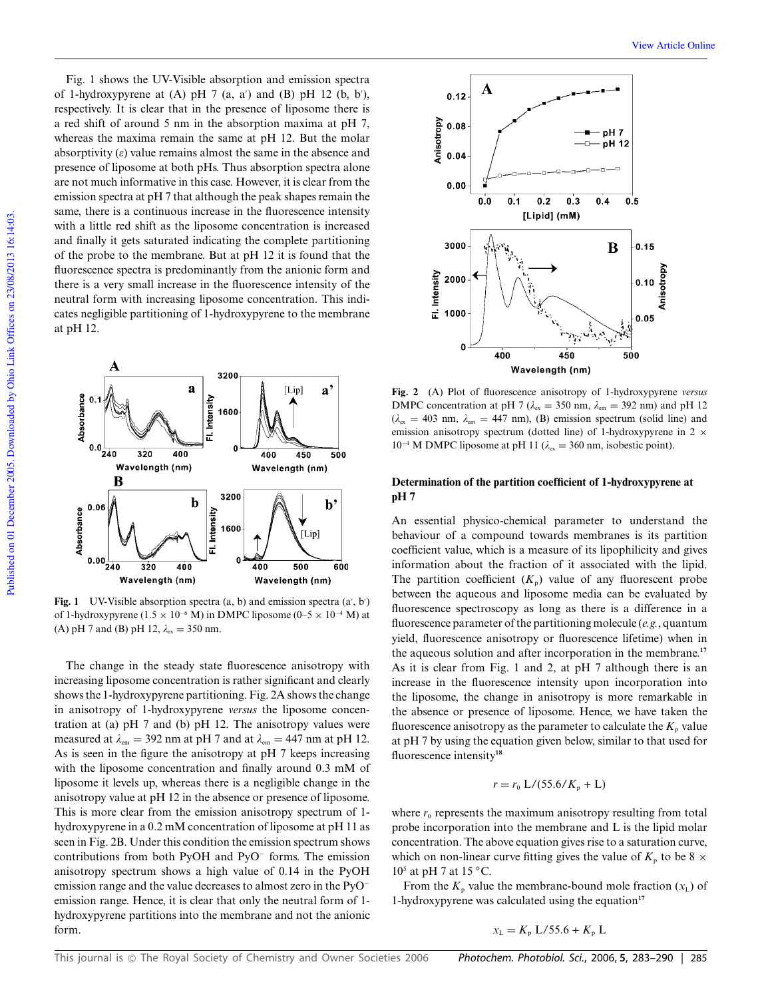Fig. 1 shows the UV-Visible absorption and emission spectra of 1-hydroxypyrene at  $(A)$  pH 7  $(a, a')$  and  $(B)$  pH 12  $(b, b')$ , respectively. It is clear that in the presence of liposome there is a red shift of around 5 nm in the absorption maxima at pH 7, whereas the maxima remain the same at pH 12. But the molar absorptivity  $(\varepsilon)$  value remains almost the same in the absence and presence of liposome at both pHs. Thus absorption spectra alone are not much informative in this case. However, it is clear from the emission spectra at pH 7 that although the peak shapes remain the same, there is a continuous increase in the fluorescence intensity with a little red shift as the liposome concentration is increased and finally it gets saturated indicating the complete partitioning of the probe to the membrane. But at pH 12 it is found that the fluorescence spectra is predominantly from the anionic form and there is a very small increase in the fluorescence intensity of the neutral form with increasing liposome concentration. This indicates negligible partitioning of 1-hydroxypyrene to the membrane at pH 12.



Fig. 1 UV-Visible absorption spectra  $(a, b)$  and emission spectra  $(a', b')$ of 1-hydroxypyrene (1.5 × 10<sup>-6</sup> M) in DMPC liposome (0–5 × 10<sup>-4</sup> M) at (A) pH 7 and (B) pH 12,  $\lambda_{ex} = 350$  nm.

The change in the steady state fluorescence anisotropy with increasing liposome concentration is rather significant and clearly shows the 1-hydroxypyrene partitioning. Fig. 2A shows the change in anisotropy of 1-hydroxypyrene *versus* the liposome concentration at (a) pH 7 and (b) pH 12. The anisotropy values were measured at  $\lambda_{em} = 392$  nm at pH 7 and at  $\lambda_{em} = 447$  nm at pH 12. As is seen in the figure the anisotropy at pH 7 keeps increasing with the liposome concentration and finally around 0.3 mM of liposome it levels up, whereas there is a negligible change in the anisotropy value at pH 12 in the absence or presence of liposome. This is more clear from the emission anisotropy spectrum of 1 hydroxypyrene in a 0.2 mM concentration of liposome at pH 11 as seen in Fig. 2B. Under this condition the emission spectrum shows contributions from both PyOH and PyO<sup>−</sup> forms. The emission anisotropy spectrum shows a high value of 0.14 in the PyOH emission range and the value decreases to almost zero in the PyO<sup>−</sup> emission range. Hence, it is clear that only the neutral form of 1 hydroxypyrene partitions into the membrane and not the anionic form.



**Fig. 2** (A) Plot of fluorescence anisotropy of 1-hydroxypyrene *versus* DMPC concentration at pH 7 ( $\lambda_{\text{ex}} = 350$  nm,  $\lambda_{\text{em}} = 392$  nm) and pH 12  $(\lambda_{\text{ex}} = 403 \text{ nm}, \lambda_{\text{em}} = 447 \text{ nm})$ , (B) emission spectrum (solid line) and emission anisotropy spectrum (dotted line) of 1-hydroxypyrene in 2  $\times$ 10<sup>-4</sup> M DMPC liposome at pH 11 ( $\lambda_{ex}$  = 360 nm, isobestic point).

## **Determination of the partition coefficient of 1-hydroxypyrene at pH 7**

An essential physico-chemical parameter to understand the behaviour of a compound towards membranes is its partition coefficient value, which is a measure of its lipophilicity and gives information about the fraction of it associated with the lipid. The partition coefficient  $(K_p)$  value of any fluorescent probe between the aqueous and liposome media can be evaluated by fluorescence spectroscopy as long as there is a difference in a fluorescence parameter of the partitioning molecule (*e.g.*, quantum yield, fluorescence anisotropy or fluorescence lifetime) when in the aqueous solution and after incorporation in the membrane.**<sup>17</sup>** As it is clear from Fig. 1 and 2, at pH 7 although there is an increase in the fluorescence intensity upon incorporation into the liposome, the change in anisotropy is more remarkable in the absence or presence of liposome. Hence, we have taken the fluorescence anisotropy as the parameter to calculate the  $K_p$  value at pH 7 by using the equation given below, similar to that used for fluorescence intensity**<sup>18</sup>**

$$
r = r_0 \frac{L}{55.6}K_p + L
$$

where  $r_0$  represents the maximum anisotropy resulting from total probe incorporation into the membrane and L is the lipid molar concentration. The above equation gives rise to a saturation curve, which on non-linear curve fitting gives the value of  $K_p$  to be 8  $\times$  $10<sup>5</sup>$  at pH 7 at 15 °C.

From the  $K_p$  value the membrane-bound mole fraction  $(x_L)$  of 1-hydroxypyrene was calculated using the equation**<sup>17</sup>**

$$
x_{\rm L} = K_{\rm p} L/55.6 + K_{\rm p} L
$$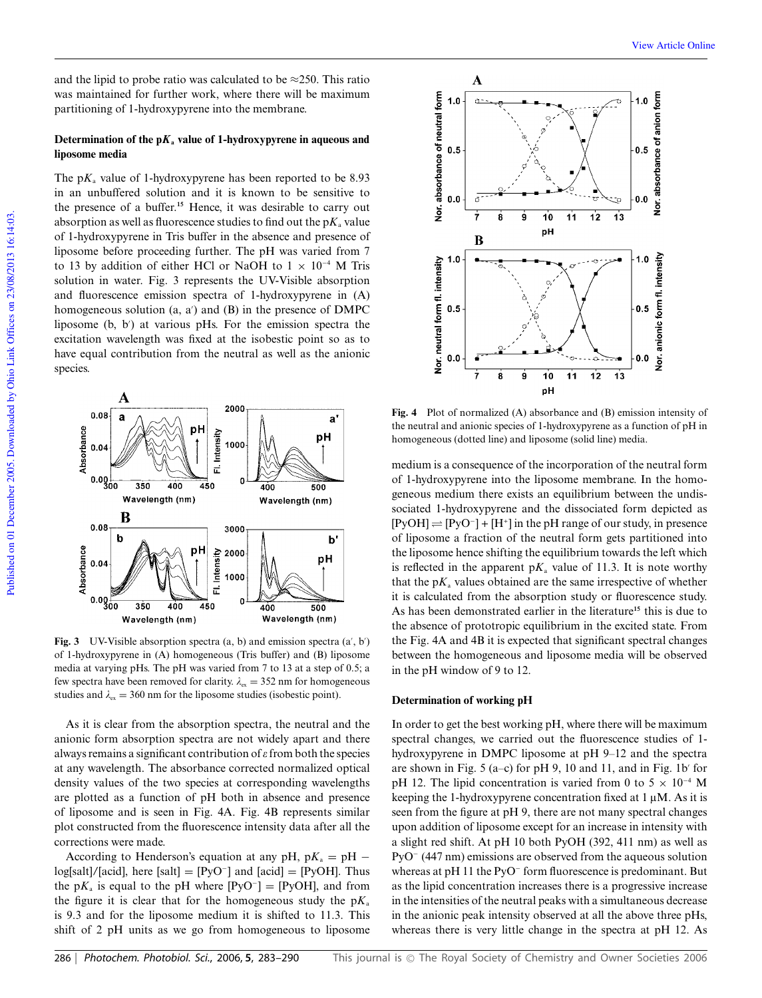and the lipid to probe ratio was calculated to be  $\approx$ 250. This ratio was maintained for further work, where there will be maximum partitioning of 1-hydroxypyrene into the membrane.

## **Determination of the**  $pK_a$  **value of 1-hydroxypyrene in aqueous and liposome media**

The  $pK_a$  value of 1-hydroxypyrene has been reported to be 8.93 in an unbuffered solution and it is known to be sensitive to the presence of a buffer.**<sup>15</sup>** Hence, it was desirable to carry out absorption as well as fluorescence studies to find out the  $pK_a$  value of 1-hydroxypyrene in Tris buffer in the absence and presence of liposome before proceeding further. The pH was varied from 7 to 13 by addition of either HCl or NaOH to  $1 \times 10^{-4}$  M Tris solution in water. Fig. 3 represents the UV-Visible absorption and fluorescence emission spectra of 1-hydroxypyrene in (A) homogeneous solution  $(a, a')$  and  $(B)$  in the presence of DMPC liposome (b, b′ ) at various pHs. For the emission spectra the excitation wavelength was fixed at the isobestic point so as to have equal contribution from the neutral as well as the anionic species.



**Fig. 3** UV-Visible absorption spectra  $(a, b)$  and emission spectra  $(a', b')$ of 1-hydroxypyrene in (A) homogeneous (Tris buffer) and (B) liposome media at varying pHs. The pH was varied from 7 to 13 at a step of 0.5; a few spectra have been removed for clarity.  $\lambda_{ex} = 352$  nm for homogeneous studies and  $\lambda_{\rm ex} = 360$  nm for the liposome studies (isobestic point).

As it is clear from the absorption spectra, the neutral and the anionic form absorption spectra are not widely apart and there always remains a significant contribution of  $\varepsilon$  from both the species at any wavelength. The absorbance corrected normalized optical density values of the two species at corresponding wavelengths are plotted as a function of pH both in absence and presence of liposome and is seen in Fig. 4A. Fig. 4B represents similar plot constructed from the fluorescence intensity data after all the corrections were made.

According to Henderson's equation at any pH,  $pK_a = pH$ log[salt]/[acid], here [salt] = [PyO<sup>−</sup> ] and [acid] = [PyOH]. Thus the  $pK_a$  is equal to the pH where  $[PyO^-] = [PyOH]$ , and from the figure it is clear that for the homogeneous study the  $pK_a$ is 9.3 and for the liposome medium it is shifted to 11.3. This shift of 2 pH units as we go from homogeneous to liposome



**Fig. 4** Plot of normalized (A) absorbance and (B) emission intensity of the neutral and anionic species of 1-hydroxypyrene as a function of pH in homogeneous (dotted line) and liposome (solid line) media.

medium is a consequence of the incorporation of the neutral form of 1-hydroxypyrene into the liposome membrane. In the homogeneous medium there exists an equilibrium between the undissociated 1-hydroxypyrene and the dissociated form depicted as  $[PyOH] \rightleftharpoons [PyO^-] + [H^+]$  in the pH range of our study, in presence of liposome a fraction of the neutral form gets partitioned into the liposome hence shifting the equilibrium towards the left which is reflected in the apparent  $pK_a$  value of 11.3. It is note worthy that the  $pK_a$  values obtained are the same irrespective of whether it is calculated from the absorption study or fluorescence study. As has been demonstrated earlier in the literature**<sup>15</sup>** this is due to the absence of prototropic equilibrium in the excited state. From the Fig. 4A and 4B it is expected that significant spectral changes between the homogeneous and liposome media will be observed in the pH window of 9 to 12.

#### **Determination of working pH**

In order to get the best working pH, where there will be maximum spectral changes, we carried out the fluorescence studies of 1 hydroxypyrene in DMPC liposome at pH 9–12 and the spectra are shown in Fig. 5 (a–c) for pH 9, 10 and 11, and in Fig. 1b′ for pH 12. The lipid concentration is varied from 0 to 5  $\times$  10<sup>-4</sup> M keeping the 1-hydroxypyrene concentration fixed at  $1 \mu$ M. As it is seen from the figure at pH 9, there are not many spectral changes upon addition of liposome except for an increase in intensity with a slight red shift. At pH 10 both PyOH (392, 411 nm) as well as PyO<sup>−</sup> (447 nm) emissions are observed from the aqueous solution whereas at pH 11 the PyO<sup>−</sup> form fluorescence is predominant. But as the lipid concentration increases there is a progressive increase in the intensities of the neutral peaks with a simultaneous decrease in the anionic peak intensity observed at all the above three pHs, whereas there is very little change in the spectra at pH 12. As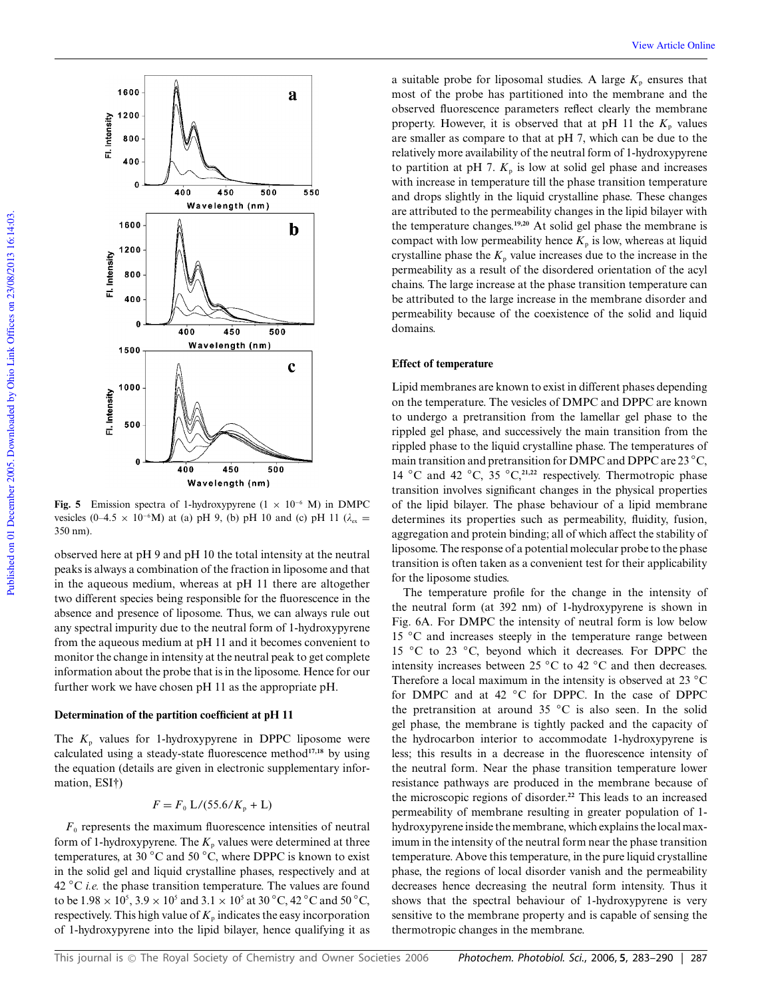

**Fig. 5** Emission spectra of 1-hydroxypyrene (1 × 10<sup>−</sup><sup>6</sup> M) in DMPC vesicles (0–4.5 × 10<sup>-6</sup>M) at (a) pH 9, (b) pH 10 and (c) pH 11 ( $\lambda_{ex}$  = 350 nm).

observed here at pH 9 and pH 10 the total intensity at the neutral peaks is always a combination of the fraction in liposome and that in the aqueous medium, whereas at pH 11 there are altogether two different species being responsible for the fluorescence in the absence and presence of liposome. Thus, we can always rule out any spectral impurity due to the neutral form of 1-hydroxypyrene from the aqueous medium at pH 11 and it becomes convenient to monitor the change in intensity at the neutral peak to get complete information about the probe that is in the liposome. Hence for our further work we have chosen pH 11 as the appropriate pH.

### **Determination of the partition coefficient at pH 11**

The  $K_p$  values for 1-hydroxypyrene in DPPC liposome were calculated using a steady-state fluorescence method**17,18** by using the equation (details are given in electronic supplementary information, ESI†)

$$
F = F_0 L/(55.6/K_p + L)
$$

 $F<sub>0</sub>$  represents the maximum fluorescence intensities of neutral form of 1-hydroxypyrene. The  $K_p$  values were determined at three temperatures, at 30 ◦C and 50 ◦C, where DPPC is known to exist in the solid gel and liquid crystalline phases, respectively and at 42 ◦C *i.e.* the phase transition temperature. The values are found to be  $1.98 \times 10^5$ ,  $3.9 \times 10^5$  and  $3.1 \times 10^5$  at  $30^{\circ}$ C,  $42^{\circ}$ C and  $50^{\circ}$ C, respectively. This high value of  $K_p$  indicates the easy incorporation of 1-hydroxypyrene into the lipid bilayer, hence qualifying it as a suitable probe for liposomal studies. A large  $K_p$  ensures that most of the probe has partitioned into the membrane and the observed fluorescence parameters reflect clearly the membrane property. However, it is observed that at pH 11 the  $K_p$  values are smaller as compare to that at pH 7, which can be due to the relatively more availability of the neutral form of 1-hydroxypyrene to partition at pH 7.  $K_p$  is low at solid gel phase and increases with increase in temperature till the phase transition temperature and drops slightly in the liquid crystalline phase. These changes are attributed to the permeability changes in the lipid bilayer with the temperature changes.**19,20** At solid gel phase the membrane is compact with low permeability hence  $K_p$  is low, whereas at liquid crystalline phase the  $K_p$  value increases due to the increase in the permeability as a result of the disordered orientation of the acyl chains. The large increase at the phase transition temperature can be attributed to the large increase in the membrane disorder and permeability because of the coexistence of the solid and liquid domains.

#### **Effect of temperature**

Lipid membranes are known to exist in different phases depending on the temperature. The vesicles of DMPC and DPPC are known to undergo a pretransition from the lamellar gel phase to the rippled gel phase, and successively the main transition from the rippled phase to the liquid crystalline phase. The temperatures of main transition and pretransition for DMPC and DPPC are 23 ◦C, 14 ◦C and 42 ◦C, 35 ◦C,**21,22** respectively. Thermotropic phase transition involves significant changes in the physical properties of the lipid bilayer. The phase behaviour of a lipid membrane determines its properties such as permeability, fluidity, fusion, aggregation and protein binding; all of which affect the stability of liposome. The response of a potential molecular probe to the phase transition is often taken as a convenient test for their applicability for the liposome studies.

The temperature profile for the change in the intensity of the neutral form (at 392 nm) of 1-hydroxypyrene is shown in Fig. 6A. For DMPC the intensity of neutral form is low below 15 ◦C and increases steeply in the temperature range between 15 ◦C to 23 ◦C, beyond which it decreases. For DPPC the intensity increases between 25 ◦C to 42 ◦C and then decreases. Therefore a local maximum in the intensity is observed at 23 °C for DMPC and at 42 °C for DPPC. In the case of DPPC the pretransition at around 35 ◦C is also seen. In the solid gel phase, the membrane is tightly packed and the capacity of the hydrocarbon interior to accommodate 1-hydroxypyrene is less; this results in a decrease in the fluorescence intensity of the neutral form. Near the phase transition temperature lower resistance pathways are produced in the membrane because of the microscopic regions of disorder.**<sup>22</sup>** This leads to an increased permeability of membrane resulting in greater population of 1 hydroxypyrene inside the membrane, which explains the local maximum in the intensity of the neutral form near the phase transition temperature. Above this temperature, in the pure liquid crystalline phase, the regions of local disorder vanish and the permeability decreases hence decreasing the neutral form intensity. Thus it shows that the spectral behaviour of 1-hydroxypyrene is very sensitive to the membrane property and is capable of sensing the thermotropic changes in the membrane.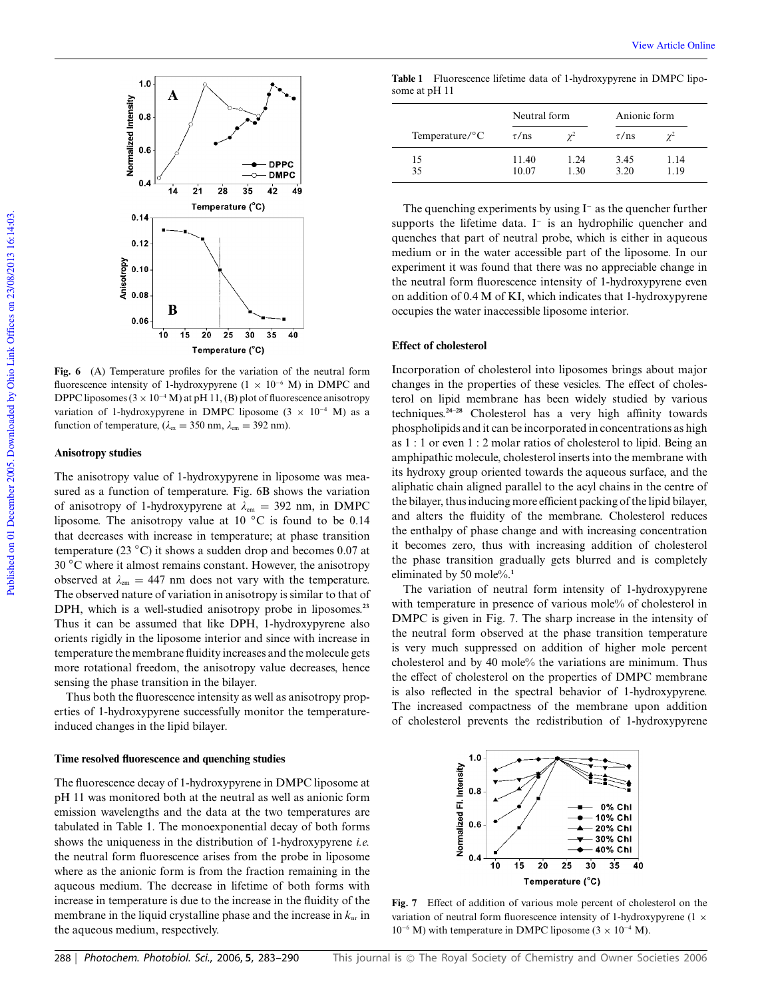

**Fig. 6** (A) Temperature profiles for the variation of the neutral form fluorescence intensity of 1-hydroxypyrene ( $1 \times 10^{-6}$  M) in DMPC and DPPC liposomes ( $3 \times 10^{-4}$  M) at pH 11, (B) plot of fluorescence anisotropy variation of 1-hydroxypyrene in DMPC liposome (3  $\times$  10<sup>-4</sup> M) as a function of temperature, ( $\lambda_{\text{ex}} = 350$  nm,  $\lambda_{\text{em}} = 392$  nm).

#### **Anisotropy studies**

The anisotropy value of 1-hydroxypyrene in liposome was measured as a function of temperature. Fig. 6B shows the variation of anisotropy of 1-hydroxypyrene at  $\lambda_{em} = 392$  nm, in DMPC liposome. The anisotropy value at 10 ◦C is found to be 0.14 that decreases with increase in temperature; at phase transition temperature (23  $\degree$ C) it shows a sudden drop and becomes 0.07 at 30 ◦C where it almost remains constant. However, the anisotropy observed at  $\lambda_{em} = 447$  nm does not vary with the temperature. The observed nature of variation in anisotropy is similar to that of DPH, which is a well-studied anisotropy probe in liposomes.**<sup>23</sup>** Thus it can be assumed that like DPH, 1-hydroxypyrene also orients rigidly in the liposome interior and since with increase in temperature the membrane fluidity increases and the molecule gets more rotational freedom, the anisotropy value decreases, hence sensing the phase transition in the bilayer.

Thus both the fluorescence intensity as well as anisotropy properties of 1-hydroxypyrene successfully monitor the temperatureinduced changes in the lipid bilayer.

#### **Time resolved fluorescence and quenching studies**

The fluorescence decay of 1-hydroxypyrene in DMPC liposome at pH 11 was monitored both at the neutral as well as anionic form emission wavelengths and the data at the two temperatures are tabulated in Table 1. The monoexponential decay of both forms shows the uniqueness in the distribution of 1-hydroxypyrene *i.e.* the neutral form fluorescence arises from the probe in liposome where as the anionic form is from the fraction remaining in the aqueous medium. The decrease in lifetime of both forms with increase in temperature is due to the increase in the fluidity of the membrane in the liquid crystalline phase and the increase in  $k_{nr}$  in the aqueous medium, respectively.

**Table 1** Fluorescence lifetime data of 1-hydroxypyrene in DMPC liposome at pH 11

|                            | Neutral form   |              | Anionic form |              |
|----------------------------|----------------|--------------|--------------|--------------|
| Temperature/ ${}^{\circ}C$ | $\tau$ /ns     | $\gamma^2$   | $\tau$ /ns   |              |
| 15<br>35                   | 11.40<br>10.07 | 1.24<br>1.30 | 3.45<br>3.20 | 1.14<br>1.19 |

The quenching experiments by using I<sup>−</sup> as the quencher further supports the lifetime data. I<sup>-</sup> is an hydrophilic quencher and quenches that part of neutral probe, which is either in aqueous medium or in the water accessible part of the liposome. In our experiment it was found that there was no appreciable change in the neutral form fluorescence intensity of 1-hydroxypyrene even on addition of 0.4 M of KI, which indicates that 1-hydroxypyrene occupies the water inaccessible liposome interior.

#### **Effect of cholesterol**

Incorporation of cholesterol into liposomes brings about major changes in the properties of these vesicles. The effect of cholesterol on lipid membrane has been widely studied by various techniques.**24–28** Cholesterol has a very high affinity towards phospholipids and it can be incorporated in concentrations as high as 1 : 1 or even 1 : 2 molar ratios of cholesterol to lipid. Being an amphipathic molecule, cholesterol inserts into the membrane with its hydroxy group oriented towards the aqueous surface, and the aliphatic chain aligned parallel to the acyl chains in the centre of the bilayer, thus inducing more efficient packing of the lipid bilayer, and alters the fluidity of the membrane. Cholesterol reduces the enthalpy of phase change and with increasing concentration it becomes zero, thus with increasing addition of cholesterol the phase transition gradually gets blurred and is completely eliminated by 50 mole%.**<sup>1</sup>**

The variation of neutral form intensity of 1-hydroxypyrene with temperature in presence of various mole% of cholesterol in DMPC is given in Fig. 7. The sharp increase in the intensity of the neutral form observed at the phase transition temperature is very much suppressed on addition of higher mole percent cholesterol and by 40 mole% the variations are minimum. Thus the effect of cholesterol on the properties of DMPC membrane is also reflected in the spectral behavior of 1-hydroxypyrene. The increased compactness of the membrane upon addition of cholesterol prevents the redistribution of 1-hydroxypyrene



**Fig. 7** Effect of addition of various mole percent of cholesterol on the variation of neutral form fluorescence intensity of 1-hydroxypyrene (1  $\times$ 10<sup>−6</sup> M) with temperature in DMPC liposome ( $3 \times 10^{-4}$  M).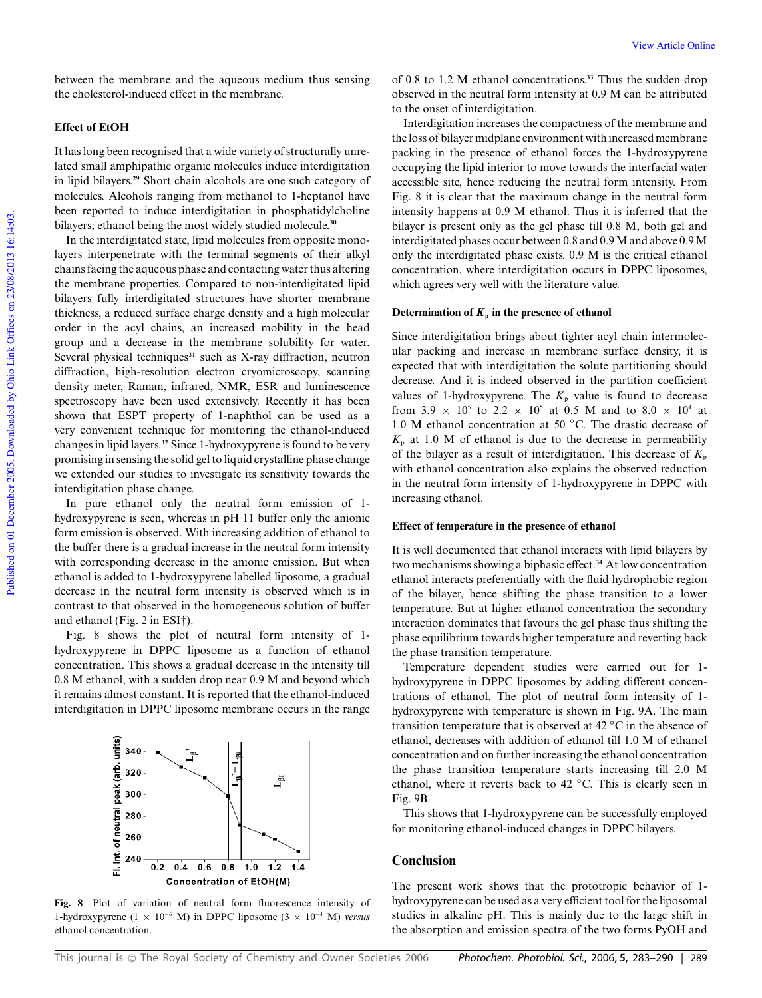between the membrane and the aqueous medium thus sensing the cholesterol-induced effect in the membrane.

## **Effect of EtOH**

It has long been recognised that a wide variety of structurally unrelated small amphipathic organic molecules induce interdigitation in lipid bilayers.**<sup>29</sup>** Short chain alcohols are one such category of molecules. Alcohols ranging from methanol to 1-heptanol have been reported to induce interdigitation in phosphatidylcholine bilayers; ethanol being the most widely studied molecule.**<sup>30</sup>**

In the interdigitated state, lipid molecules from opposite monolayers interpenetrate with the terminal segments of their alkyl chains facing the aqueous phase and contacting water thus altering the membrane properties. Compared to non-interdigitated lipid bilayers fully interdigitated structures have shorter membrane thickness, a reduced surface charge density and a high molecular order in the acyl chains, an increased mobility in the head group and a decrease in the membrane solubility for water. Several physical techniques<sup>31</sup> such as X-ray diffraction, neutron diffraction, high-resolution electron cryomicroscopy, scanning density meter, Raman, infrared, NMR, ESR and luminescence spectroscopy have been used extensively. Recently it has been shown that ESPT property of 1-naphthol can be used as a very convenient technique for monitoring the ethanol-induced changes in lipid layers.**<sup>32</sup>** Since 1-hydroxypyrene is found to be very promising in sensing the solid gel to liquid crystalline phase change we extended our studies to investigate its sensitivity towards the interdigitation phase change.

In pure ethanol only the neutral form emission of 1 hydroxypyrene is seen, whereas in pH 11 buffer only the anionic form emission is observed. With increasing addition of ethanol to the buffer there is a gradual increase in the neutral form intensity with corresponding decrease in the anionic emission. But when ethanol is added to 1-hydroxypyrene labelled liposome, a gradual decrease in the neutral form intensity is observed which is in contrast to that observed in the homogeneous solution of buffer and ethanol (Fig. 2 in ESI†).

Fig. 8 shows the plot of neutral form intensity of 1 hydroxypyrene in DPPC liposome as a function of ethanol concentration. This shows a gradual decrease in the intensity till 0.8 M ethanol, with a sudden drop near 0.9 M and beyond which it remains almost constant. It is reported that the ethanol-induced interdigitation in DPPC liposome membrane occurs in the range



**Fig. 8** Plot of variation of neutral form fluorescence intensity of 1-hydroxypyrene (1 × 10<sup>−</sup><sup>6</sup> M) in DPPC liposome (3 × 10<sup>−</sup><sup>4</sup> M) *versus* ethanol concentration.

of 0.8 to 1.2 M ethanol concentrations.**<sup>33</sup>** Thus the sudden drop observed in the neutral form intensity at 0.9 M can be attributed to the onset of interdigitation.

Interdigitation increases the compactness of the membrane and the loss of bilayer midplane environment with increased membrane packing in the presence of ethanol forces the 1-hydroxypyrene occupying the lipid interior to move towards the interfacial water accessible site, hence reducing the neutral form intensity. From Fig. 8 it is clear that the maximum change in the neutral form intensity happens at 0.9 M ethanol. Thus it is inferred that the bilayer is present only as the gel phase till 0.8 M, both gel and interdigitated phases occur between 0.8 and 0.9 M and above 0.9 M only the interdigitated phase exists. 0.9 M is the critical ethanol concentration, where interdigitation occurs in DPPC liposomes, which agrees very well with the literature value.

#### Determination of  $K_p$  in the presence of ethanol

Since interdigitation brings about tighter acyl chain intermolecular packing and increase in membrane surface density, it is expected that with interdigitation the solute partitioning should decrease. And it is indeed observed in the partition coefficient values of 1-hydroxypyrene. The  $K_p$  value is found to decrease from 3.9  $\times$  10<sup>5</sup> to 2.2  $\times$  10<sup>5</sup> at 0.5 M and to 8.0  $\times$  10<sup>4</sup> at 1.0 M ethanol concentration at 50 ◦C. The drastic decrease of  $K<sub>p</sub>$  at 1.0 M of ethanol is due to the decrease in permeability of the bilayer as a result of interdigitation. This decrease of  $K_p$ with ethanol concentration also explains the observed reduction in the neutral form intensity of 1-hydroxypyrene in DPPC with increasing ethanol.

#### **Effect of temperature in the presence of ethanol**

It is well documented that ethanol interacts with lipid bilayers by two mechanisms showing a biphasic effect.**<sup>34</sup>** At low concentration ethanol interacts preferentially with the fluid hydrophobic region of the bilayer, hence shifting the phase transition to a lower temperature. But at higher ethanol concentration the secondary interaction dominates that favours the gel phase thus shifting the phase equilibrium towards higher temperature and reverting back the phase transition temperature.

Temperature dependent studies were carried out for 1 hydroxypyrene in DPPC liposomes by adding different concentrations of ethanol. The plot of neutral form intensity of 1 hydroxypyrene with temperature is shown in Fig. 9A. The main transition temperature that is observed at 42 ◦C in the absence of ethanol, decreases with addition of ethanol till 1.0 M of ethanol concentration and on further increasing the ethanol concentration the phase transition temperature starts increasing till 2.0 M ethanol, where it reverts back to 42 ◦C. This is clearly seen in Fig. 9B.

This shows that 1-hydroxypyrene can be successfully employed for monitoring ethanol-induced changes in DPPC bilayers.

## **Conclusion**

The present work shows that the prototropic behavior of 1 hydroxypyrene can be used as a very efficient tool for the liposomal studies in alkaline pH. This is mainly due to the large shift in the absorption and emission spectra of the two forms PyOH and